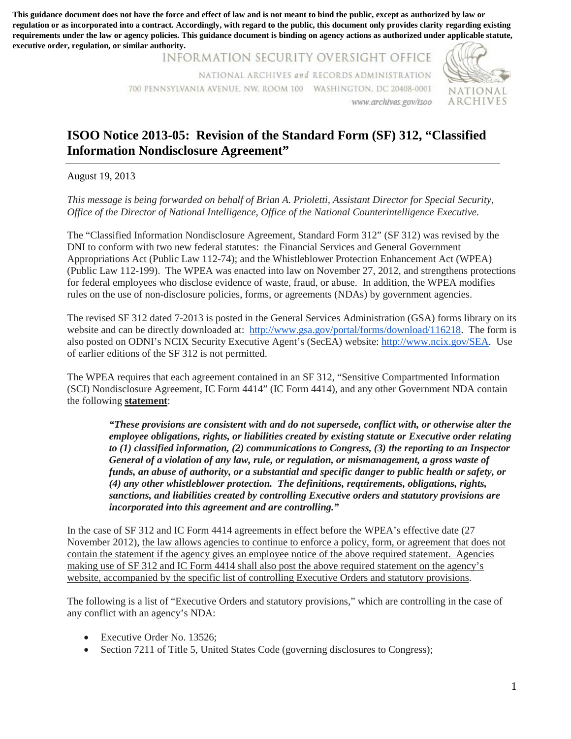**regulation or as incorporated into a contract. Accordingly, with regard to the public, this document only provides clarity regarding existing requirements under the law or agency policies. This guidance document is binding on agency actions as authorized under applicable statute, executive order, regulation, or similar authority.**

> INFORMATION SECURITY OVERSIGHT OFFICE NATIONAL ARCHIVES *and* RECORDS ADMINISTRATION 700 PENNSYLVANIA AVENUE, NW, ROOM 100 WASHINGTON, DC 20408-0001 NATIONAL www.archives.gov/isoo A RC HIVES



## **ISOO Notice 2013-05: Revision of the Standard Form (SF) 312, "Classified Information Nondisclosure Agreement"**

August 19, 2013

*This message is being forwarded on behalf of Brian A. Prioletti, Assistant Director for Special Security, Office of the Director of National Intelligence, Office of the National Counterintelligence Executive.* 

 DNI to conform with two new federal statutes: the Financial Services and General Government Appropriations Act (Public Law 112-74); and the Whistleblower Protection Enhancement Act (WPEA) for federal employees who disclose evidence of waste, fraud, or abuse. In addition, the WPEA modifies rules on the use of non-disclosure policies, forms, or agreements (NDAs) by government agencies. The "Classified Information Nondisclosure Agreement, Standard Form 312" (SF 312) was revised by the (Public Law 112-199). The WPEA was enacted into law on November 27, 2012, and strengthens protections

rules on the use of non-disclosure policies, forms, or agreements (NDAs) by government agencies.<br>The revised SF 312 dated 7-2013 is posted in the General Services Administration (GSA) forms library on its website and can be directly downloaded at: [http://www.gsa.gov/portal/forms/download/116218.](http://www.gsa.gov/portal/forms/download/116218) The form is also posted on ODNI's NCIX Security Executive Agent's (SecEA) website: [http://www.ncix.gov/SEA.](http://www.ncix.gov/SEA) Use of earlier editions of the SF 312 is not permitted.

 the following **statement**: The WPEA requires that each agreement contained in an SF 312, "Sensitive Compartmented Information (SCI) Nondisclosure Agreement, IC Form 4414" (IC Form 4414), and any other Government NDA contain

 *employee obligations, rights, or liabilities created by existing statute or Executive order relating funds, an abuse of authority, or a substantial and specific danger to public health or safety, or (4) any other whistleblower protection. The definitions, requirements, obligations, rights, incorporated into this agreement and are controlling." "These provisions are consistent with and do not supersede, conflict with, or otherwise alter the to (1) classified information, (2) communications to Congress, (3) the reporting to an Inspector General of a violation of any law, rule, or regulation, or mismanagement, a gross waste of sanctions, and liabilities created by controlling Executive orders and statutory provisions are*  This guidance does not have the mean of the state of mean of the force and effect of law and interaction and the force and the force and the force and the force and the force and the public of the state of the state of th

 contain the statement if the agency gives an employee notice of the above required statement. Agencies website, accompanied by the specific list of controlling Executive Orders and statutory provisions. In the case of SF 312 and IC Form 4414 agreements in effect before the WPEA's effective date (27 November 2012), the law allows agencies to continue to enforce a policy, form, or agreement that does not making use of SF 312 and IC Form 4414 shall also post the above required statement on the agency's

 The following is a list of "Executive Orders and statutory provisions," which are controlling in the case of any conflict with an agency's NDA:

- Executive Order No. 13526;
- Section 7211 of Title 5, United States Code (governing disclosures to Congress);